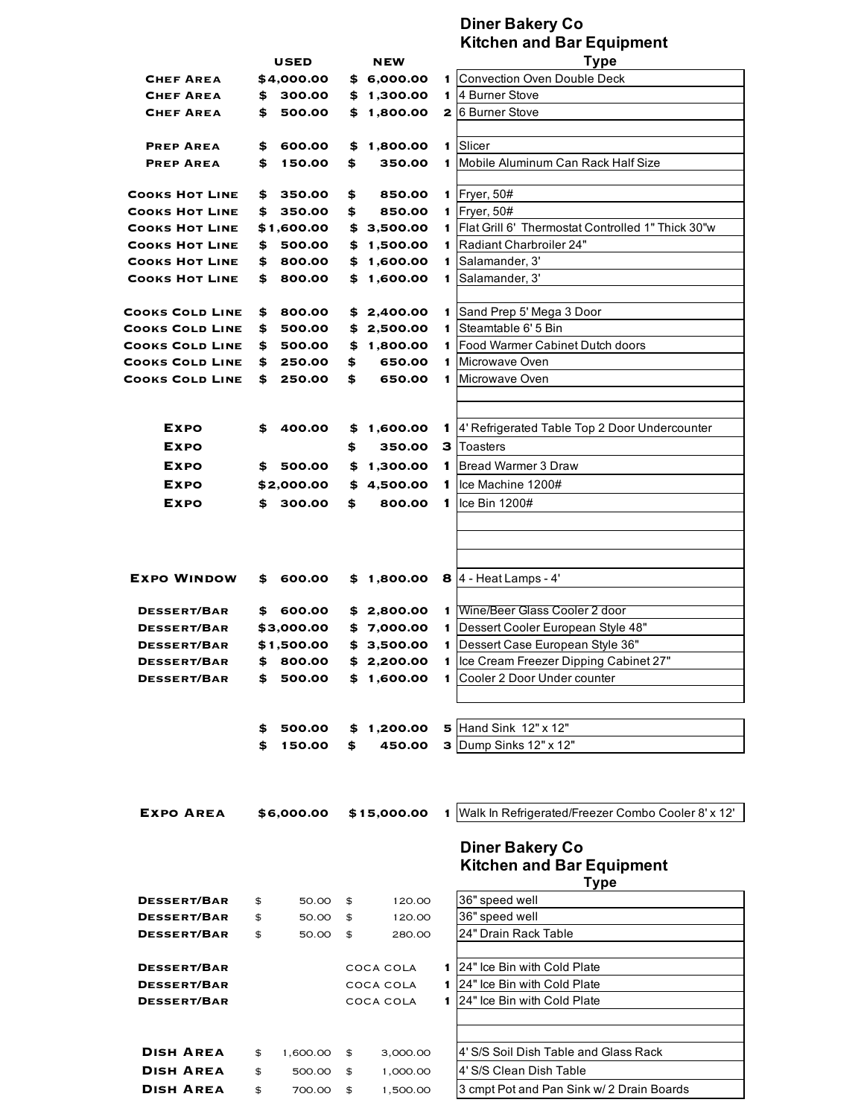## **Diner Bakery Co Kitchen and Bar Equipment**

|                        | <b>USED</b> |            | <b>NEW</b> |             |                | Type                                                       |  |  |  |
|------------------------|-------------|------------|------------|-------------|----------------|------------------------------------------------------------|--|--|--|
| <b>CHEF AREA</b>       |             | \$4,000.00 |            | \$6,000.00  | 1              | Convection Oven Double Deck                                |  |  |  |
| <b>CHEF AREA</b>       | \$          | 300.00     | \$         | 1,300.00    | 1.             | 4 Burner Stove                                             |  |  |  |
| <b>CHEF AREA</b>       | \$          | 500.00     | \$         | 1,800.00    | 2 <sub>1</sub> | 6 Burner Stove                                             |  |  |  |
|                        |             |            |            |             |                |                                                            |  |  |  |
| <b>PREP AREA</b>       | \$          | 600.00     | \$         | 1,800.00    | 1.             | Slicer                                                     |  |  |  |
| <b>PREP AREA</b>       | \$          | 150.00     | \$         | 350.00      | 1.             | <b>IMobile Aluminum Can Rack Half Size</b>                 |  |  |  |
|                        |             |            |            |             |                |                                                            |  |  |  |
| <b>COOKS HOT LINE</b>  | \$          | 350.00     | \$         | 850.00      | 1              | Fryer, 50#                                                 |  |  |  |
| <b>COOKS HOT LINE</b>  | \$          | 350.00     | \$         | 850.00      |                | $1$ Fryer, 50#                                             |  |  |  |
| <b>COOKS HOT LINE</b>  |             | \$1,600.00 | \$         | 3,500.00    |                | 1   Flat Grill 6' Thermostat Controlled 1" Thick 30"w      |  |  |  |
| <b>COOKS HOT LINE</b>  | \$          | 500.00     | \$         | 1,500.00    | 1.             | Radiant Charbroiler 24"                                    |  |  |  |
| <b>COOKS HOT LINE</b>  | \$          | 800.00     | \$         | 1,600.00    | 1.             | Salamander, 3'                                             |  |  |  |
| <b>COOKS HOT LINE</b>  | \$          | 800.00     | \$         | 1,600.00    | $\mathbf{1}$   | Salamander, 3'                                             |  |  |  |
|                        |             |            |            |             |                |                                                            |  |  |  |
| <b>COOKS COLD LINE</b> | \$          | 800.00     | \$         | 2,400.00    | $\mathbf{1}$   | Sand Prep 5' Mega 3 Door                                   |  |  |  |
| <b>COOKS COLD LINE</b> | \$          | 500.00     | \$         | 2,500.00    | 1              | Steamtable 6' 5 Bin                                        |  |  |  |
| <b>COOKS COLD LINE</b> | \$          | 500.00     | \$         | 1,800.00    | 1.             | Food Warmer Cabinet Dutch doors                            |  |  |  |
| <b>COOKS COLD LINE</b> | \$          | 250.00     | \$         | 650.00      | 1              | Microwave Oven                                             |  |  |  |
| <b>COOKS COLD LINE</b> | \$          | 250.00     | \$         | 650.00      |                | 1 Microwave Oven                                           |  |  |  |
|                        |             |            |            |             |                |                                                            |  |  |  |
|                        |             |            |            |             |                |                                                            |  |  |  |
| <b>EXPO</b>            | \$          | 400.00     | \$         | 1,600.00    | 1.             | 4' Refrigerated Table Top 2 Door Undercounter              |  |  |  |
| EXPO                   |             |            | \$         | 350.00      | з              | Toasters                                                   |  |  |  |
| EXPO                   | \$          | 500.00     | \$         | 1,300.00    | 1              | Bread Warmer 3 Draw                                        |  |  |  |
| <b>EXPO</b>            |             | \$2,000.00 | \$         | 4,500.00    | 1.             | Ice Machine 1200#                                          |  |  |  |
| <b>EXPO</b>            | \$          | 300.00     | \$         | 800.00      | 1              | Ice Bin $1200#$                                            |  |  |  |
|                        |             |            |            |             |                |                                                            |  |  |  |
|                        |             |            |            |             |                |                                                            |  |  |  |
|                        |             |            |            |             |                |                                                            |  |  |  |
|                        |             |            |            |             |                |                                                            |  |  |  |
| <b>EXPO WINDOW</b>     | \$          | 600.00     | \$         |             |                | <b>1,800.00 8</b> 4 - Heat Lamps - 4'                      |  |  |  |
|                        |             |            |            |             |                |                                                            |  |  |  |
| <b>DESSERT/BAR</b>     | \$          | 600.00     | \$         | 2,800.00    | 1              | Wine/Beer Glass Cooler 2 door                              |  |  |  |
| <b>DESSERT/BAR</b>     |             | \$3,000.00 | \$         | 7,000.00    | 1.             | Dessert Cooler European Style 48"                          |  |  |  |
| <b>DESSERT/BAR</b>     |             | \$1,500.00 | \$         | 3,500.00    | 1.             | Dessert Case European Style 36"                            |  |  |  |
| <b>DESSERT/BAR</b>     | \$          | 800.00     | \$         | 2,200.00    | 1              | Ice Cream Freezer Dipping Cabinet 27"                      |  |  |  |
| <b>DESSERT/BAR</b>     | \$          | 500.00     | \$         | 1,600.00    | 1.             | Cooler 2 Door Under counter                                |  |  |  |
|                        |             |            |            |             |                |                                                            |  |  |  |
|                        |             |            |            |             |                |                                                            |  |  |  |
|                        | \$          | 500.00     |            | \$1,200.00  |                | $\overline{5}$ Hand Sink 12" x 12"                         |  |  |  |
|                        | \$          | 150.00     | \$         | 450.00      |                | <b>3</b> Dump Sinks 12" x 12"                              |  |  |  |
|                        |             |            |            |             |                |                                                            |  |  |  |
| <b>EXPO AREA</b>       |             | \$6,000.00 |            | \$15,000.00 | 1.             | Walk In Refrigerated/Freezer Combo Cooler 8' x 12'         |  |  |  |
|                        |             |            |            |             |                | <b>Diner Bakery Co</b><br><b>Kitchen and Bar Equipment</b> |  |  |  |
|                        |             |            |            |             |                | Type                                                       |  |  |  |
| <b>DESSERT/BAR</b>     | \$          | 50.00      | \$         | 120.00      |                | 36" speed well                                             |  |  |  |
| <b>DESSERT/BAR</b>     | \$          | 50.00      | \$         | 120.00      |                | 36" speed well                                             |  |  |  |
| <b>DESSERT/BAR</b>     | \$          | 50.00      | \$         | 280.00      |                | 24" Drain Rack Table                                       |  |  |  |
|                        |             |            |            |             |                |                                                            |  |  |  |
| <b>DESSERT/BAR</b>     |             |            |            | COCA COLA   |                | 1 24" Ice Bin with Cold Plate                              |  |  |  |
| <b>DESSERT/BAR</b>     |             |            |            | COCA COLA   | 1.             | 24" Ice Bin with Cold Plate                                |  |  |  |
| <b>DESSERT/BAR</b>     |             |            |            | COCA COLA   |                | 1 24" Ice Bin with Cold Plate                              |  |  |  |
|                        |             |            |            |             |                |                                                            |  |  |  |
|                        |             |            |            |             |                |                                                            |  |  |  |
| <b>DISH AREA</b>       |             |            |            |             |                | 4' S/S Soil Dish Table and Glass Rack                      |  |  |  |
|                        | \$          | 1,600.00   | \$         | 3,000.00    |                |                                                            |  |  |  |
| <b>DISH AREA</b>       | \$          | 500.00     | \$         | 1,000.00    |                | 4' S/S Clean Dish Table                                    |  |  |  |
| <b>DISH AREA</b>       | \$          | 700.00     | \$         | 1,500.00    |                | 3 cmpt Pot and Pan Sink w/ 2 Drain Boards                  |  |  |  |